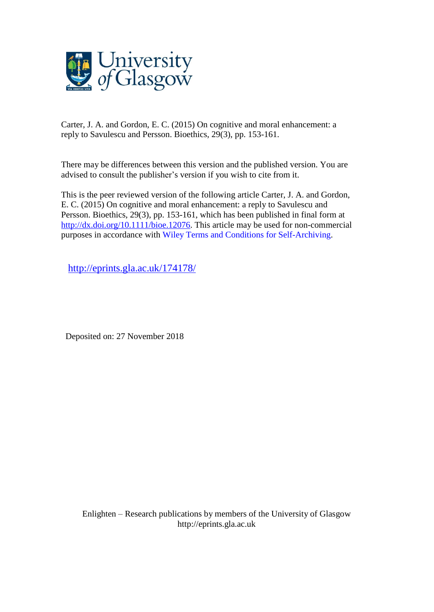

Carter, J. A. and Gordon, E. C. (2015) On cognitive and moral enhancement: a reply to Savulescu and Persson. Bioethics, 29(3), pp. 153-161.

There may be differences between this version and the published version. You are advised to consult the publisher's version if you wish to cite from it.

This is the peer reviewed version of the following article Carter, J. A. and Gordon, E. C. (2015) On cognitive and moral enhancement: a reply to Savulescu and Persson. Bioethics, 29(3), pp. 153-161, which has been published in final form at [http://dx.doi.org/10.1111/bioe.12076.](http://dx.doi.org/10.1111/bioe.12076) This article may be used for non-commercial purposes in accordance with Wiley Terms and Conditions for [Self-Archiving.](http://olabout.wiley.com/WileyCDA/Section/id-828039.html#terms)

<http://eprints.gla.ac.uk/174178/>

Deposited on: 27 November 2018

Enlighten – Research publications by members of the University of Glasgo[w](http://eprints.gla.ac.uk/) [http://eprints.gla.ac.uk](http://eprints.gla.ac.uk/)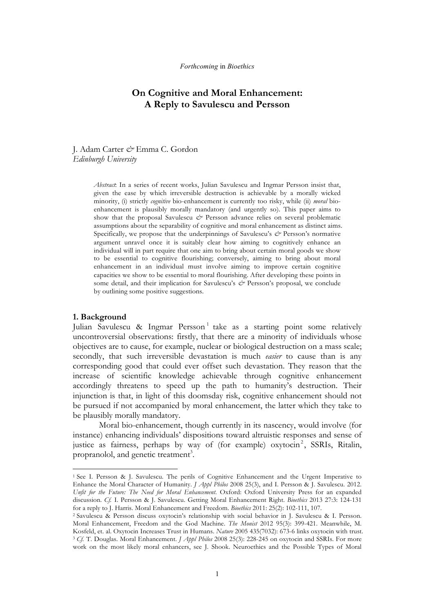# **On Cognitive and Moral Enhancement: A Reply to Savulescu and Persson**

# J. Adam Carter *&* Emma C. Gordon *Edinburgh University*

*Abstract*: In a series of recent works, Julian Savulescu and Ingmar Persson insist that, given the ease by which irreversible destruction is achievable by a morally wicked minority, (i) strictly *cognitive* bio-enhancement is currently too risky, while (ii) *moral* bioenhancement is plausibly morally mandatory (and urgently so). This paper aims to show that the proposal Savulescu *&* Persson advance relies on several problematic assumptions about the separability of cognitive and moral enhancement as distinct aims. Specifically, we propose that the underpinnings of Savulescu's  $\phi$  Persson's normative argument unravel once it is suitably clear how aiming to cognitively enhance an individual will in part require that one aim to bring about certain moral goods we show to be essential to cognitive flourishing; conversely, aiming to bring about moral enhancement in an individual must involve aiming to improve certain cognitive capacities we show to be essential to moral flourishing. After developing these points in some detail, and their implication for Savulescu's  $\phi$ <sup>*s*</sup> Persson's proposal, we conclude by outlining some positive suggestions.

# **1. Background**

 

Julian Savulescu & Ingmar Persson<sup>1</sup> take as a starting point some relatively uncontroversial observations: firstly, that there are a minority of individuals whose objectives are to cause, for example, nuclear or biological destruction on a mass scale; secondly, that such irreversible devastation is much *easier* to cause than is any corresponding good that could ever offset such devastation. They reason that the increase of scientific knowledge achievable through cognitive enhancement accordingly threatens to speed up the path to humanity's destruction. Their injunction is that, in light of this doomsday risk, cognitive enhancement should not be pursued if not accompanied by moral enhancement, the latter which they take to be plausibly morally mandatory.

Moral bio-enhancement, though currently in its nascency, would involve (for instance) enhancing individuals' dispositions toward altruistic responses and sense of justice as fairness, perhaps by way of (for example) oxytocin<sup>2</sup>, SSRIs, Ritalin, propranolol, and genetic treatment<sup>3</sup>.

<sup>1</sup> See I. Persson & J. Savulescu. The perils of Cognitive Enhancement and the Urgent Imperative to Enhance the Moral Character of Humanity. *J Appl Philos* 2008 25(3), and I. Persson & J. Savulescu. 2012. *Unfit for the Future: The Need for Moral Enhancement*. Oxford: Oxford University Press for an expanded discussion. *Cf.* I. Persson & J. Savulescu. Getting Moral Enhancement Right. *Bioethics* 2013 27:3: 124-131 for a reply to J. Harris. Moral Enhancement and Freedom. *Bioethics* 2011: 25(2): 102-111, 107. 2 Savulescu & Persson discuss oxytocin's relationship with social behavior in J. Savulescu & I. Persson.

Moral Enhancement, Freedom and the God Machine. *The Monist* 2012 95(3): 399-421. Meanwhile, M. Kosfeld, et. al. Oxytocin Increases Trust in Humans. *Nature* 2005 435(7032): 673-6 links oxytocin with trust. <sup>3</sup> *Cf.* T. Douglas. Moral Enhancement. *J Appl Philos* 2008 25(3): 228-245 on oxytocin and SSRIs. For more work on the most likely moral enhancers, see J. Shook. Neuroethics and the Possible Types of Moral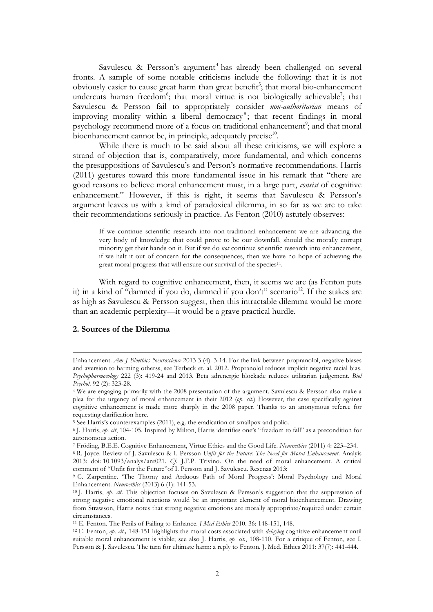Savulescu & Persson's argument <sup>4</sup> has already been challenged on several fronts. A sample of some notable criticisms include the following: that it is not obviously easier to cause great harm than great benefit<sup>5</sup>; that moral bio-enhancement undercuts human freedom<sup>6</sup>; that moral virtue is not biologically achievable<sup>7</sup>; that Savulescu & Persson fail to appropriately consider *non-authoritarian* means of improving morality within a liberal democracy<sup>8</sup>; that recent findings in moral psychology recommend more of a focus on traditional enhancement<sup>9</sup>; and that moral bioenhancement cannot be, in principle, adequately precise<sup>10</sup>.

While there is much to be said about all these criticisms, we will explore a strand of objection that is, comparatively, more fundamental, and which concerns the presuppositions of Savulescu's and Person's normative recommendations. Harris (2011) gestures toward this more fundamental issue in his remark that "there are good reasons to believe moral enhancement must, in a large part, *consist* of cognitive enhancement." However, if this is right, it seems that Savulescu & Persson's argument leaves us with a kind of paradoxical dilemma, in so far as we are to take their recommendations seriously in practice. As Fenton (2010) astutely observes:

If we continue scientific research into non-traditional enhancement we are advancing the very body of knowledge that could prove to be our downfall, should the morally corrupt minority get their hands on it. But if we do *not* continue scientific research into enhancement, if we halt it out of concern for the consequences, then we have no hope of achieving the great moral progress that will ensure our survival of the species<sup>11</sup>.

With regard to cognitive enhancement, then, it seems we are (as Fenton puts it) in a kind of "damned if you do, damned if you don't" scenario<sup>12</sup>. If the stakes are as high as Savulescu & Persson suggest, then this intractable dilemma would be more than an academic perplexity—it would be a grave practical hurdle.

# **2. Sources of the Dilemma**

<u> 1989 - Andrea San Andrew Maria (h. 1989).</u><br>1900 - Johann British, fransk politik (h. 1980).

Enhancement. *Am J Bioethics Neuroscience* 2013 3 (4): 3-14. For the link between propranolol, negative biases and aversion to harming otherss, see Terbeck et. al. 2012. *P*ropranolol reduces implicit negative racial bias. *Psychopharmocology* 222 (3): 419-24 and 2013. Beta adrenergic blockade reduces utilitarian judgement. *Biol Psychol.* 92 (2): 323-28.

<sup>4</sup> We are engaging primarily with the 2008 presentation of the argument. Savulescu & Persson also make a plea for the urgency of moral enhancement in their 2012 (*op. cit.*) However, the case specifically against cognitive enhancement is made more sharply in the 2008 paper. Thanks to an anonymous referee for requesting clarification here.

<sup>5</sup> See Harris's counterexamples (2011), e.g. the eradication of smallpox and polio.

<sup>6</sup> J. Harris, *op. cit*, 104-105. Inspired by Milton, Harris identifies one's "freedom to fall" as a precondition for autonomous action.

<sup>7</sup> Fröding, B.E.E. Cognitive Enhancement, Virtue Ethics and the Good Life. *Neuroethics* (2011) 4: 223–234.

<sup>8</sup> R. Joyce. Review of J. Savulescu & I. Persson *Unfit for the Future: The Need for Moral Enhancement*. Analyis 2013: doi: 10.1093/analys/ant021. *Cf.* J.F.P. Trivino. On the need of moral enhancement. A critical comment of "Unfit for the Future"of I. Persson and J. Savulescu. Resenas 2013:

<sup>9</sup> C. Zarpentine. 'The Thorny and Arduous Path of Moral Progress': Moral Psychology and Moral Enhancement. *Neuroethics* (2013) 6 (1): 141-53.

<sup>10</sup> J. Harris, *op. cit*. This objection focuses on Savulescu & Persson's suggestion that the suppression of strong negative emotional reactions would be an important element of moral bioenhancement. Drawing from Strawson, Harris notes that strong negative emotions are morally appropriate/required under certain circumstances.

<sup>11</sup> E. Fenton. The Perils of Failing to Enhance. *J Med Ethics* 2010. 36: 148-151, 148.

<sup>12</sup> E. Fenton, *op. cit.,* 148-151 highlights the moral costs associated with *delaying* cognitive enhancement until suitable moral enhancement is viable; see also J. Harris, *op. cit.*, 108-110. For a critique of Fenton, see I. Persson & J. Savulescu. The turn for ultimate harm: a reply to Fenton. J. Med. Ethics 2011: 37(7): 441-444.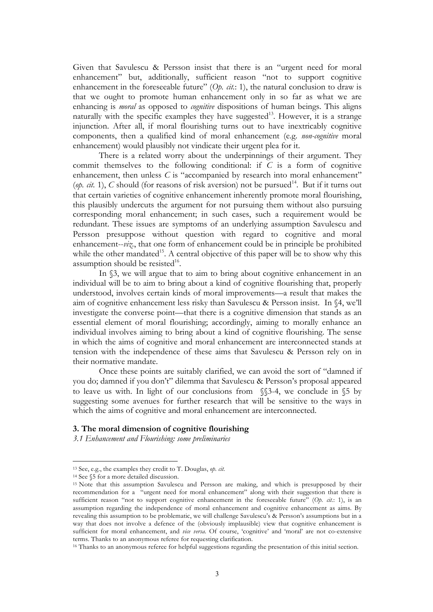Given that Savulescu & Persson insist that there is an "urgent need for moral enhancement" but, additionally, sufficient reason "not to support cognitive enhancement in the foreseeable future" (*Op. cit.*: 1), the natural conclusion to draw is that we ought to promote human enhancement only in so far as what we are enhancing is *moral* as opposed to *cognitive* dispositions of human beings. This aligns naturally with the specific examples they have suggested<sup>13</sup>. However, it is a strange injunction. After all, if moral flourishing turns out to have inextricably cognitive components, then a qualified kind of moral enhancement (e.g. *non-cognitive* moral enhancement) would plausibly not vindicate their urgent plea for it.

There is a related worry about the underpinnings of their argument. They commit themselves to the following conditional: if *C* is a form of cognitive enhancement, then unless *C* is "accompanied by research into moral enhancement" (*op. cit.* 1),  $C$  should (for reasons of risk aversion) not be pursued<sup>14</sup>. But if it turns out that certain varieties of cognitive enhancement inherently promote moral flourishing, this plausibly undercuts the argument for not pursuing them without also pursuing corresponding moral enhancement; in such cases, such a requirement would be redundant. These issues are symptoms of an underlying assumption Savulescu and Persson presuppose without question with regard to cognitive and moral enhancement--*viz.*, that one form of enhancement could be in principle be prohibited while the other mandated<sup>15</sup>. A central objective of this paper will be to show why this assumption should be resisted $16$ .

In  $\S$ 3, we will argue that to aim to bring about cognitive enhancement in an individual will be to aim to bring about a kind of cognitive flourishing that, properly understood, involves certain kinds of moral improvements—a result that makes the aim of cognitive enhancement less risky than Savulescu & Persson insist. In §4, we'll investigate the converse point—that there is a cognitive dimension that stands as an essential element of moral flourishing; accordingly, aiming to morally enhance an individual involves aiming to bring about a kind of cognitive flourishing. The sense in which the aims of cognitive and moral enhancement are interconnected stands at tension with the independence of these aims that Savulescu & Persson rely on in their normative mandate.

Once these points are suitably clarified, we can avoid the sort of "damned if you do; damned if you don't" dilemma that Savulescu & Persson's proposal appeared to leave us with. In light of our conclusions from §§3-4, we conclude in §5 by suggesting some avenues for further research that will be sensitive to the ways in which the aims of cognitive and moral enhancement are interconnected.

#### **3. The moral dimension of cognitive flourishing**

*3.1 Enhancement and Flourishing: some preliminaries*

<sup>13</sup> See, e.g., the examples they credit to T. Douglas, *op. cit.* 

<sup>14</sup> See §5 for a more detailed discussion.

<sup>15</sup> Note that this assumption Savulescu and Persson are making, and which is presupposed by their recommendation for a "urgent need for moral enhancement" along with their suggestion that there is sufficient reason "not to support cognitive enhancement in the foreseeable future" (Op. cit.: 1), is an assumption regarding the independence of moral enhancement and cognitive enhancement as aims. By revealing this assumption to be problematic, we will challenge Savulescu's & Persson's assumptions but in a way that does not involve a defence of the (obviously implausible) view that cognitive enhancement is sufficient for moral enhancement, and *vice versa*. Of course, 'cognitive' and 'moral' are not co-extensive terms. Thanks to an anonymous referee for requesting clarification.

<sup>16</sup> Thanks to an anonymous referee for helpful suggestions regarding the presentation of this initial section.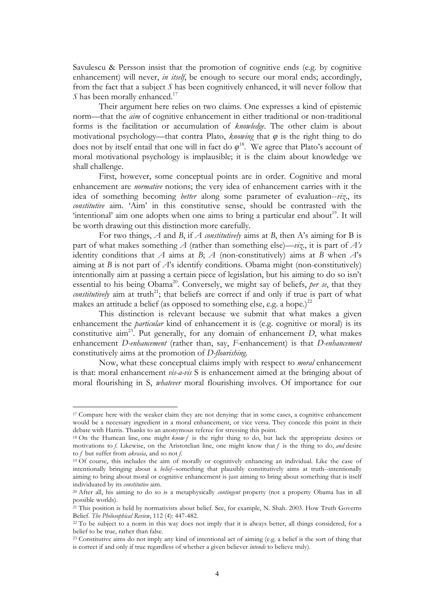Savulescu & Persson insist that the promotion of cognitive ends (e.g. by cognitive enhancement) will never, *in itself*, be enough to secure our moral ends; accordingly, from the fact that a subject *S* has been cognitively enhanced, it will never follow that *S* has been morally enhanced.<sup>17</sup>

Their argument here relies on two claims. One expresses a kind of epistemic norm—that the *aim* of cognitive enhancement in either traditional or non-traditional forms is the facilitation or accumulation of *knowledge*. The other claim is about motivational psychology—that contra Plato, *knowing* that  $\varphi$  is the right thing to do does not by itself entail that one will in fact do  $\varphi$ <sup>18</sup>. We agree that Plato's account of moral motivational psychology is implausible; it is the claim about knowledge we shall challenge.

First, however, some conceptual points are in order. Cognitive and moral enhancement are *normative* notions; the very idea of enhancement carries with it the idea of something becoming *better* along some parameter of evaluation--*viz*., its *constitutive* aim. 'Aim' in this constitutive sense, should be contrasted with the 'intentional' aim one adopts when one aims to bring a particular end about<sup>19</sup>. It will be worth drawing out this distinction more carefully.

For two things, *A* and *B*, if *A constitutively* aims at *B*, then A's aiming for B is part of what makes something *A* (rather than something else)—*viz*., it is part of *A's*  identity conditions that *A* aims at *B*; *A* (non-constitutively) aims at *B* when *A*'s aiming at *B* is not part of  $A$ 's identify conditions. Obama might (non-constitutively) intentionally aim at passing a certain piece of legislation, but his aiming to do so isn't essential to his being Obama<sup>20</sup>. Conversely, we might say of beliefs, *per se*, that they *constitutively* aim at truth<sup>21</sup>; that beliefs are correct if and only if true is part of what makes an attitude a belief (as opposed to something else, e.g. a hope.)<sup>22</sup>

This distinction is relevant because we submit that what makes a given enhancement the *particular* kind of enhancement it is (e.g. cognitive or moral) is its constitutive aim<sup>23</sup>. Put generally, for any domain of enhancement  $D$ , what makes enhancement *D-enhancement* (rather than, say, *F-*enhancement) is that *D-enhancement* constitutively aims at the promotion of *D-flourishing.*

Now, what these conceptual claims imply with respect to *moral* enhancement is that: moral enhancement *vis-a-vis* S is enhancement aimed at the bringing about of moral flourishing in S, *whatever* moral flourishing involves. Of importance for our

<sup>17</sup> Compare here with the weaker claim they are not denying: that in some cases, a cognitive enhancement would be a necessary ingredient in a moral enhancement, or vice versa. They concede this point in their debate with Harris. Thanks to an anonymous referee for stressing this point. 18 On the Humean line, one might *know <sup>f</sup>* is the right thing to do, but lack the appropriate desires or

motivations to *f*. Likewise, on the Aristotelian line, one might know that *f* is the thing to do, *and* desire to *f* but suffer from *akrasia*, and so not *f*.

<sup>19</sup> Of course, this includes the aim of morally or cognitively enhancing an individual. Like the case of intentionally bringing about a *belief*--something that plausibly constitutively aims at truth--intentionally aiming to bring about moral or cognitive enhancement is just aiming to bring about something that is itself individuated by its *constitutive* aim.

<sup>20</sup> After all, his aiming to do so is a metaphysically *contingent* property (not a property Obama has in all possible worlds).

<sup>&</sup>lt;sup>21</sup> This position is held by normativists about belief. See, for example, N. Shah. 2003. How Truth Governs Belief. *The Philosophical Review*, 112 (4): 447-482.

<sup>&</sup>lt;sup>22</sup> To be subject to a norm in this way does not imply that it is always better, all things considered, for a belief to be true, rather than false.

<sup>23</sup> Constitutive aims do not imply any kind of intentional act of aiming (e.g. a belief is the sort of thing that is correct if and only if true regardless of whether a given believer *intends* to believe truly).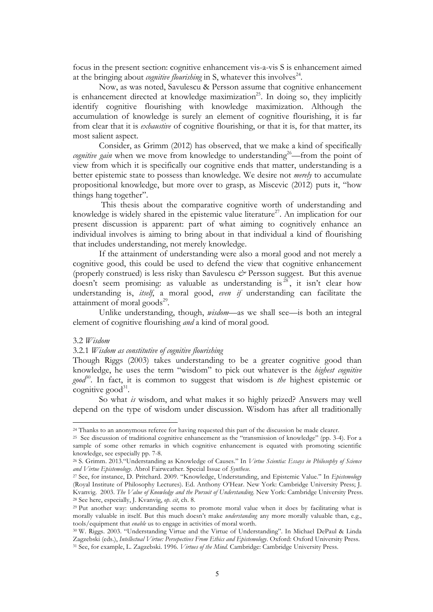focus in the present section: cognitive enhancement vis-a-vis S is enhancement aimed at the bringing about *cognitive flourishing* in S, whatever this involves<sup> $24$ </sup>.

Now, as was noted, Savulescu & Persson assume that cognitive enhancement is enhancement directed at knowledge maximization<sup>25</sup>. In doing so, they implicitly identify cognitive flourishing with knowledge maximization. Although the accumulation of knowledge is surely an element of cognitive flourishing, it is far from clear that it is *exhaustive* of cognitive flourishing, or that it is, for that matter, its most salient aspect.

Consider, as Grimm (2012) has observed, that we make a kind of specifically *cognitive gain* when we move from knowledge to understanding<sup>26</sup>—from the point of view from which it is specifically our cognitive ends that matter, understanding is a better epistemic state to possess than knowledge. We desire not *merely* to accumulate propositional knowledge, but more over to grasp, as Miscevic (2012) puts it, "how things hang together".

This thesis about the comparative cognitive worth of understanding and knowledge is widely shared in the epistemic value literature<sup>27</sup>. An implication for our present discussion is apparent: part of what aiming to cognitively enhance an individual involves is aiming to bring about in that individual a kind of flourishing that includes understanding, not merely knowledge.

If the attainment of understanding were also a moral good and not merely a cognitive good, this could be used to defend the view that cognitive enhancement (properly construed) is less risky than Savulescu *&* Persson suggest. But this avenue doesn't seem promising: as valuable as understanding is  $\frac{28}{3}$  it isn't clear how understanding is, *itself*, a moral good, *even if* understanding can facilitate the attainment of moral goods $29$ .

Unlike understanding, though, *wisdom*—as we shall see—is both an integral element of cognitive flourishing *and* a kind of moral good.

# 3.2 *Wisdom*

# 3.2.1 *Wisdom as constitutive of cognitive flourishing*

 

Though Riggs (2003) takes understanding to be a greater cognitive good than knowledge, he uses the term "wisdom" to pick out whatever is the *highest cognitive good*30. In fact, it is common to suggest that wisdom is *the* highest epistemic or cognitive good $31$ .

So what *is* wisdom, and what makes it so highly prized? Answers may well depend on the type of wisdom under discussion. Wisdom has after all traditionally

<sup>24</sup> Thanks to an anonymous referee for having requested this part of the discussion be made clearer.

<sup>25</sup> See discussion of traditional cognitive enhancement as the "transmission of knowledge" (pp. 3-4). For a sample of some other remarks in which cognitive enhancement is equated with promoting scientific knowledge, see especially pp. 7-8.

<sup>26</sup> S. Grimm. 2013."Understanding as Knowledge of Causes." In *Virtue Scientia: Essays in Philosophy of Science and Virtue Epistemology*. Abrol Fairweather. Special Issue of *Synthese.*

<sup>27</sup> See, for instance, D. Pritchard. 2009. "Knowledge, Understanding, and Epistemic Value." In *Epistemology* (Royal Institute of Philosophy Lectures). Ed. Anthony O'Hear. New York: Cambridge University Press; J. Kvanvig. 2003. *The Value of Knowledge and the Pursuit of Understanding*. New York: Cambridge University Press. <sup>28</sup> See here, especially, J. Kvanvig, *op. cit*, ch. 8.

<sup>29</sup> Put another way: understanding seems to promote moral value when it does by facilitating what is morally valuable in itself. But this much doesn't make *understanding* any more morally valuable than, e.g., tools/equipment that *enable* us to engage in activities of moral worth.<br><sup>30</sup> W. Riggs. 2003. "Understanding Virtue and the Virtue of Understanding". In Michael DePaul & Linda

Zagzebski (eds.), *Intellectual Virtue: Persepectives From Ethics and Epistemology*. Oxford: Oxford University Press. <sup>31</sup> See, for example, L. Zagzebski. 1996. *Virtues of the Mind.* Cambridge: Cambridge University Press.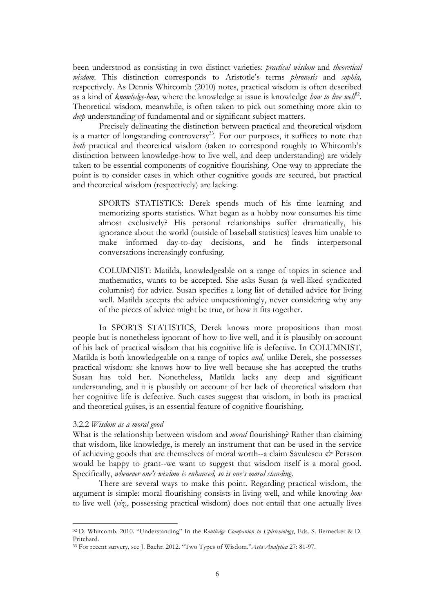been understood as consisting in two distinct varieties: *practical wisdom* and *theoretical wisdom*. This distinction corresponds to Aristotle's terms *phronesis* and *sophia,*  respectively. As Dennis Whitcomb (2010) notes, practical wisdom is often described as a kind of *knowledge-how*, where the knowledge at issue is knowledge *how to live well*<sup>22</sup>. Theoretical wisdom, meanwhile, is often taken to pick out something more akin to *deep* understanding of fundamental and or significant subject matters.

Precisely delineating the distinction between practical and theoretical wisdom is a matter of longstanding controversy<sup>33</sup>. For our purposes, it suffices to note that *both* practical and theoretical wisdom (taken to correspond roughly to Whitcomb's distinction between knowledge-how to live well, and deep understanding) are widely taken to be essential components of cognitive flourishing. One way to appreciate the point is to consider cases in which other cognitive goods are secured, but practical and theoretical wisdom (respectively) are lacking.

SPORTS STATISTICS: Derek spends much of his time learning and memorizing sports statistics. What began as a hobby now consumes his time almost exclusively? His personal relationships suffer dramatically, his ignorance about the world (outside of baseball statistics) leaves him unable to make informed day-to-day decisions, and he finds interpersonal conversations increasingly confusing.

COLUMNIST: Matilda, knowledgeable on a range of topics in science and mathematics, wants to be accepted. She asks Susan (a well-liked syndicated columnist) for advice. Susan specifies a long list of detailed advice for living well. Matilda accepts the advice unquestioningly, never considering why any of the pieces of advice might be true, or how it fits together.

In SPORTS STATISTICS, Derek knows more propositions than most people but is nonetheless ignorant of how to live well, and it is plausibly on account of his lack of practical wisdom that his cognitive life is defective. In COLUMNIST, Matilda is both knowledgeable on a range of topics *and,* unlike Derek, she possesses practical wisdom: she knows how to live well because she has accepted the truths Susan has told her. Nonetheless, Matilda lacks any deep and significant understanding, and it is plausibly on account of her lack of theoretical wisdom that her cognitive life is defective. Such cases suggest that wisdom, in both its practical and theoretical guises, is an essential feature of cognitive flourishing.

# 3.2.2 *Wisdom as a moral good*

 

What is the relationship between wisdom and *moral* flourishing? Rather than claiming that wisdom, like knowledge, is merely an instrument that can be used in the service of achieving goods that are themselves of moral worth--a claim Savulescu *&* Persson would be happy to grant--we want to suggest that wisdom itself is a moral good. Specifically, *whenever one's wisdom is enhanced, so is one's moral standing*.

There are several ways to make this point. Regarding practical wisdom, the argument is simple: moral flourishing consists in living well, and while knowing *how* to live well (*viz.*, possessing practical wisdom) does not entail that one actually lives

<sup>32</sup> D. Whitcomb. 2010. "Understanding" In the *Routledge Companion to Epistemology*, Eds. S. Bernecker & D. Pritchard.

<sup>33</sup> For recent survery, see J. Baehr. 2012. "Two Types of Wisdom."*Acta Analytica* 27: 81-97.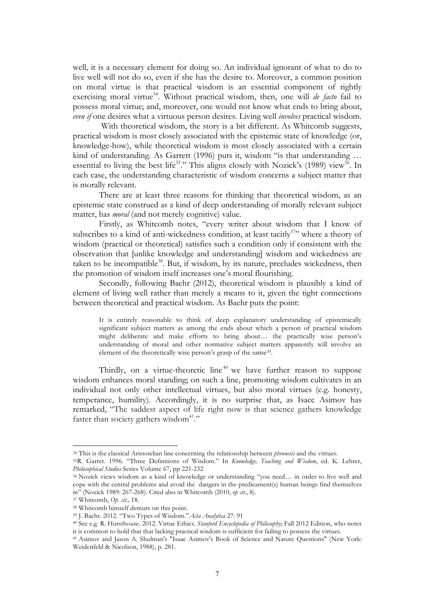well, it is a necessary element for doing so. An individual ignorant of what to do to live well will not do so, even if she has the desire to. Moreover, a common position on moral virtue is that practical wisdom is an essential component of rightly exercising moral virtue<sup>34</sup>. Without practical wisdom, then, one will *de facto* fail to possess moral virtue; and, moreover, one would not know what ends to bring about, *even if* one desires what a virtuous person desires. Living well *involves* practical wisdom.

With theoretical wisdom, the story is a bit different. As Whitcomb suggests, practical wisdom is most closely associated with the epistemic state of knowledge (or, knowledge-how), while theoretical wisdom is most closely associated with a certain kind of understanding. As Garrett (1996) puts it, wisdom "is that understanding ... essential to living the best life<sup>35</sup>." This aligns closely with Nozick's (1989) view<sup>36</sup>. In each case, the understanding characteristic of wisdom concerns a subject matter that is morally relevant.

There are at least three reasons for thinking that theoretical wisdom, as an epistemic state construed as a kind of deep understanding of morally relevant subject matter, has *moral* (and not merely cognitive) value.

Firstly, as Whitcomb notes, "every writer about wisdom that I know of subscribes to a kind of anti-wickedness condition, at least tacitly $37$ " where a theory of wisdom (practical or theoretical) satisfies such a condition only if consistent with the observation that [unlike knowledge and understanding] wisdom and wickedness are taken to be incompatible<sup>38</sup>. But, if wisdom, by its nature, precludes wickedness, then the promotion of wisdom itself increases one's moral flourishing.

Secondly, following Baehr (2012), theoretical wisdom is plausibly a kind of element of living well rather than merely a means to it, given the tight connections between theoretical and practical wisdom. As Baehr puts the point:

It is entirely reasonable to think of deep explanatory understanding of epistemically significant subject matters as among the ends about which a person of practical wisdom might deliberate and make efforts to bring about… the practically wise person's understanding of moral and other normative subject matters apparently will involve an element of the theoretically wise person's grasp of the same39.

Thirdly, on a virtue-theoretic line<sup> $40$ </sup> we have further reason to suppose wisdom enhances moral standing; on such a line, promoting wisdom cultivates in an individual not only other intellectual virtues, but also moral virtues (e.g. honesty, temperance, humility). Accordingly, it is no surprise that, as Isacc Asimov has remarked, "The saddest aspect of life right now is that science gathers knowledge faster than society gathers wisdom<sup>41</sup>."

<sup>34</sup> This is the classical Aristotelian line concerning the relationship between *phronesis* and the virtues. 35R. Garret. 1996. "Three Definitions of Wisdom." In *Knowledge, Teaching and Wisdom*, ed. K. Lehrer,

*Philosophical Studies* Series Volume 67, pp 221-232

<sup>36</sup> Nozick views wisdom as a kind of knowledge or understanding "you need… in order to live well and cope with the central problems and avoid the dangers in the predicament(s) human beings find themselves in" (Nozick 1989: 267-268). Cited also in Whitcomb (2010, *op cit.*, 8).

<sup>37</sup> Whitcomb, *Op. cit.,* 18. 38 Whitcomb himself demurs on this point.

<sup>39</sup> J. Baehr. 2012. "Two Types of Wisdom."*Acta Analytica* 27: 91

<sup>40</sup> See e.g. R. Hursthouse. 2012. Virtue Ethics. *Stanford Encyclopedia of Philosophy*; Fall 2012 Edition, who notes it is common to hold that that lacking practical wisdom is sufficient for failing to possess the virtues.

<sup>41</sup> Asimov and Jason A. Shulman's "Isaac Asimov's Book of Science and Nature Questions" (New York: Weidenfeld & Nicolson, 1988), p. 281.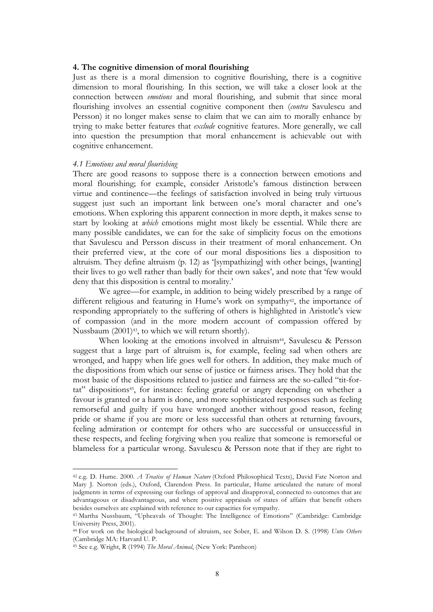### **4. The cognitive dimension of moral flourishing**

Just as there is a moral dimension to cognitive flourishing, there is a cognitive dimension to moral flourishing. In this section, we will take a closer look at the connection between *emotions* and moral flourishing, and submit that since moral flourishing involves an essential cognitive component then (*contra* Savulescu and Persson) it no longer makes sense to claim that we can aim to morally enhance by trying to make better features that *exclude* cognitive features. More generally, we call into question the presumption that moral enhancement is achievable out with cognitive enhancement.

# *4.1 Emotions and moral flourishing*

There are good reasons to suppose there is a connection between emotions and moral flourishing; for example, consider Aristotle's famous distinction between virtue and continence—the feelings of satisfaction involved in being truly virtuous suggest just such an important link between one's moral character and one's emotions. When exploring this apparent connection in more depth, it makes sense to start by looking at *which* emotions might most likely be essential. While there are many possible candidates, we can for the sake of simplicity focus on the emotions that Savulescu and Persson discuss in their treatment of moral enhancement. On their preferred view, at the core of our moral dispositions lies a disposition to altruism. They define altruism (p. 12) as '[sympathizing] with other beings, [wanting] their lives to go well rather than badly for their own sakes', and note that 'few would deny that this disposition is central to morality.'

We agree—for example, in addition to being widely prescribed by a range of different religious and featuring in Hume's work on sympathy<sup>42</sup>, the importance of responding appropriately to the suffering of others is highlighted in Aristotle's view of compassion (and in the more modern account of compassion offered by Nussbaum (2001)43, to which we will return shortly).

When looking at the emotions involved in altruism<sup>44</sup>, Savulescu & Persson suggest that a large part of altruism is, for example, feeling sad when others are wronged, and happy when life goes well for others. In addition, they make much of the dispositions from which our sense of justice or fairness arises. They hold that the most basic of the dispositions related to justice and fairness are the so-called "tit-fortat" dispositions<sup>45</sup>, for instance: feeling grateful or angry depending on whether a favour is granted or a harm is done, and more sophisticated responses such as feeling remorseful and guilty if you have wronged another without good reason, feeling pride or shame if you are more or less successful than others at returning favours, feeling admiration or contempt for others who are successful or unsuccessful in these respects, and feeling forgiving when you realize that someone is remorseful or blameless for a particular wrong. Savulescu & Persson note that if they are right to

<sup>42</sup> e.g. D. Hume. 2000. *A Treatise of Human Nature* (Oxford Philosophical Texts), David Fate Norton and Mary J. Norton (eds.), Oxford, Clarendon Press. In particular, Hume articulated the nature of moral judgments in terms of expressing our feelings of approval and disapproval, connected to outcomes that are advantageous or disadvantageous, and where positive appraisals of states of affairs that benefit others besides ourselves are explained with reference to our capacities for sympathy.

<sup>43</sup> Martha Nussbaum, "Upheavals of Thought: The Intelligence of Emotions" (Cambridge: Cambridge University Press, 2001).

<sup>44</sup> For work on the biological background of altruism, see Sober, E. and Wilson D. S. (1998) *Unto Others* (Cambridge MA: Harvard U. P.

<sup>45</sup> See e.g. Wright, R (1994) *The Moral Animal*, (New York: Pantheon)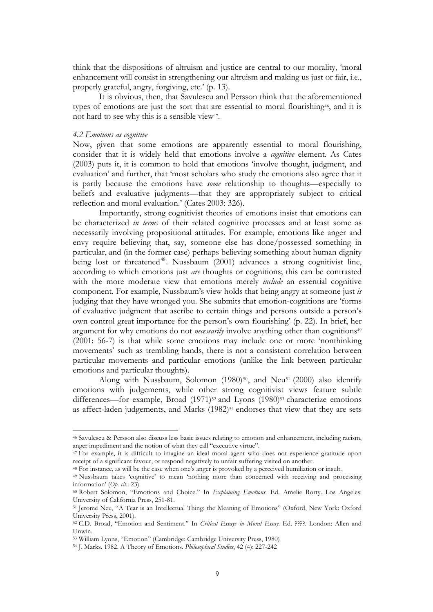think that the dispositions of altruism and justice are central to our morality, 'moral enhancement will consist in strengthening our altruism and making us just or fair, i.e., properly grateful, angry, forgiving, etc.' (p. 13).

It is obvious, then, that Savulescu and Persson think that the aforementioned types of emotions are just the sort that are essential to moral flourishing46, and it is not hard to see why this is a sensible view47.

### *4.2 Emotions as cognitive*

Now, given that some emotions are apparently essential to moral flourishing, consider that it is widely held that emotions involve a *cognitive* element. As Cates (2003) puts it, it is common to hold that emotions 'involve thought, judgment, and evaluation' and further, that 'most scholars who study the emotions also agree that it is partly because the emotions have *some* relationship to thoughts—especially to beliefs and evaluative judgments—that they are appropriately subject to critical reflection and moral evaluation.' (Cates 2003: 326).

Importantly, strong cognitivist theories of emotions insist that emotions can be characterized *in terms* of their related cognitive processes and at least some as necessarily involving propositional attitudes. For example, emotions like anger and envy require believing that, say, someone else has done/possessed something in particular, and (in the former case) perhaps believing something about human dignity being lost or threatened<sup>48</sup>. Nussbaum (2001) advances a strong cognitivist line, according to which emotions just *are* thoughts or cognitions; this can be contrasted with the more moderate view that emotions merely *include* an essential cognitive component. For example, Nussbaum's view holds that being angry at someone just *is* judging that they have wronged you. She submits that emotion-cognitions are 'forms of evaluative judgment that ascribe to certain things and persons outside a person's own control great importance for the person's own flourishing' (p. 22). In brief, her argument for why emotions do not *necessarily* involve anything other than cognitions<sup>49</sup> (2001: 56-7) is that while some emotions may include one or more 'nonthinking movements' such as trembling hands, there is not a consistent correlation between particular movements and particular emotions (unlike the link between particular emotions and particular thoughts).

Along with Nussbaum, Solomon  $(1980)^{50}$ , and Neu<sup>51</sup> (2000) also identify emotions with judgements, while other strong cognitivist views feature subtle differences—for example, Broad (1971)<sup>52</sup> and Lyons (1980)<sup>53</sup> characterize emotions as affect-laden judgements, and Marks (1982)<sup>54</sup> endorses that view that they are sets

<sup>46</sup> Savulescu & Persson also discuss less basic issues relating to emotion and enhancement, including racism, anger impediment and the notion of what they call "executive virtue".

<sup>47</sup> For example, it is difficult to imagine an ideal moral agent who does not experience gratitude upon receipt of a significant favour, or respond negatively to unfair suffering visited on another.

<sup>48</sup> For instance, as will be the case when one's anger is provoked by a perceived humiliation or insult.

<sup>49</sup> Nussbaum takes 'cognitive' to mean 'nothing more than concerned with receiving and processing information' (*Op. cit*.: 23). 50 Robert Solomon, "Emotions and Choice." In *Explaining Emotions*. Ed. Amelie Rorty. Los Angeles:

University of California Press, 251-81.

<sup>51</sup> Jerome Neu, "A Tear is an Intellectual Thing: the Meaning of Emotions" (Oxford, New York: Oxford University Press, 2001).

<sup>52</sup> C.D. Broad, "Emotion and Sentiment." In *Critical Essays in Moral Essay*. Ed. ????. London: Allen and Unwin.

<sup>53</sup> William Lyons, "Emotion" (Cambridge: Cambridge University Press, 1980)

<sup>54</sup> J. Marks. 1982. A Theory of Emotions. *Philosophical Studies*, 42 (4): 227-242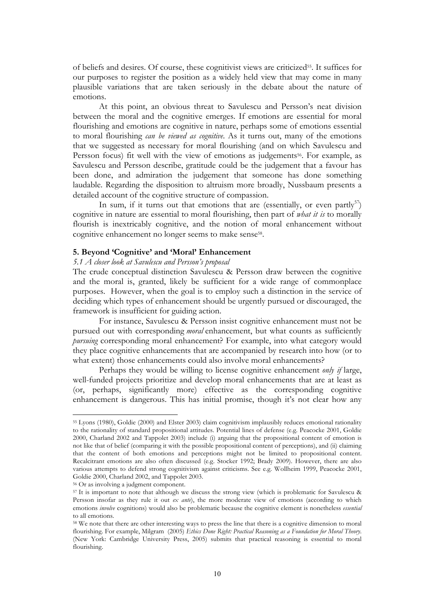of beliefs and desires. Of course, these cognitivist views are criticized55. It suffices for our purposes to register the position as a widely held view that may come in many plausible variations that are taken seriously in the debate about the nature of emotions.

At this point, an obvious threat to Savulescu and Persson's neat division between the moral and the cognitive emerges. If emotions are essential for moral flourishing and emotions are cognitive in nature, perhaps some of emotions essential to moral flourishing *can be viewed as cognitive*. As it turns out, many of the emotions that we suggested as necessary for moral flourishing (and on which Savulescu and Persson focus) fit well with the view of emotions as judgements<sup>56</sup>. For example, as Savulescu and Persson describe, gratitude could be the judgement that a favour has been done, and admiration the judgement that someone has done something laudable. Regarding the disposition to altruism more broadly, Nussbaum presents a detailed account of the cognitive structure of compassion.

In sum, if it turns out that emotions that are (essentially, or even partly<sup>57</sup>) cognitive in nature are essential to moral flourishing, then part of *what it is* to morally flourish is inextricably cognitive, and the notion of moral enhancement without cognitive enhancement no longer seems to make sense<sup>58</sup>.

#### **5. Beyond 'Cognitive' and 'Moral' Enhancement**

## *5.1 A closer look at Savulescu and Persson's proposal*

The crude conceptual distinction Savulescu & Persson draw between the cognitive and the moral is, granted, likely be sufficient for a wide range of commonplace purposes. However, when the goal is to employ such a distinction in the service of deciding which types of enhancement should be urgently pursued or discouraged, the framework is insufficient for guiding action.

For instance, Savulescu & Persson insist cognitive enhancement must not be pursued out with corresponding *moral* enhancement, but what counts as sufficiently *pursuing* corresponding moral enhancement? For example, into what category would they place cognitive enhancements that are accompanied by research into how (or to what extent) those enhancements could also involve moral enhancements?

Perhaps they would be willing to license cognitive enhancement *only if* large, well-funded projects prioritize and develop moral enhancements that are at least as (or, perhaps, significantly more) effective as the corresponding cognitive enhancement is dangerous. This has initial promise, though it's not clear how any

<sup>55</sup> Lyons (1980), Goldie (2000) and Elster 2003) claim cognitivism implausibly reduces emotional rationality to the rationality of standard propositional attitudes. Potential lines of defense (e.g. Peacocke 2001, Goldie 2000, Charland 2002 and Tappolet 2003) include (i) arguing that the propositional content of emotion is not like that of belief (comparing it with the possible propositional content of perceptions), and (ii) claiming that the content of both emotions and perceptions might not be limited to propositional content. Recalcitrant emotions are also often discussed (e.g. Stocker 1992; Brady 2009). However, there are also various attempts to defend strong cognitivism against criticisms. See e.g. Wollheim 1999, Peacocke 2001, Goldie 2000, Charland 2002, and Tappolet 2003.

<sup>56</sup> Or as involving a judgment component.

<sup>57</sup> It is important to note that although we discuss the strong view (which is problematic for Savulescu & Persson insofar as they rule it out *ex ante*), the more moderate view of emotions (according to which emotions *involve* cognitions) would also be problematic because the cognitive element is nonetheless *essential* to all emotions.

<sup>58</sup> We note that there are other interesting ways to press the line that there is a cognitive dimension to moral flourishing. For example, Milgram (2005) *Ethics Done Right: Practical Reasoning as a Foundation for Moral Theory*. (New York: Cambridge University Press, 2005) submits that practical reasoning is essential to moral flourishing.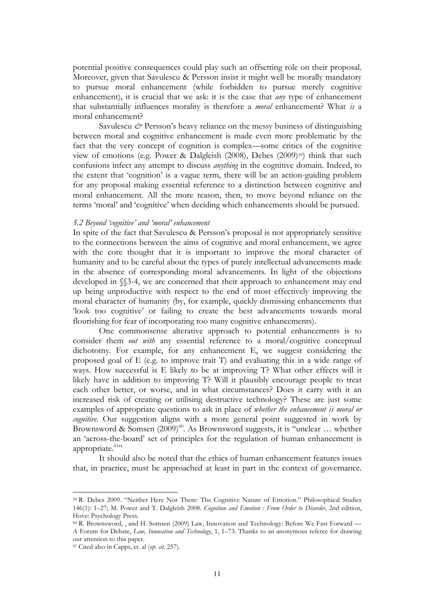potential positive consequences could play such an offsetting role on their proposal. Moreover, given that Savulescu & Persson insist it might well be morally mandatory to pursue moral enhancement (while forbidden to pursue merely cognitive enhancement), it is crucial that we ask: it is the case that *any* type of enhancement that substantially influences morality is therefore a *moral* enhancement? What *is* a moral enhancement?

Savulescu  $\mathcal O$  Persson's heavy reliance on the messy business of distinguishing between moral and cognitive enhancement is made even more problematic by the fact that the very concept of cognition is complex—some critics of the cognitive view of emotions (e.g. Power & Dalgleish (2008), Debes (2009)<sup>59</sup>) think that such confusions infect any attempt to discuss *anything* in the cognitive domain. Indeed, to the extent that 'cognition' is a vague term, there will be an action-guiding problem for any proposal making essential reference to a distinction between cognitive and moral enhancement. All the more reason, then, to move beyond reliance on the terms 'moral' and 'cognitive' when deciding which enhancements should be pursued.

### *5.2 Beyond 'cognitive' and 'moral' enhancement*

In spite of the fact that Savulescu & Persson's proposal is not appropriately sensitive to the connections between the aims of cognitive and moral enhancement, we agree with the core thought that it is important to improve the moral character of humanity and to be careful about the types of purely intellectual advancements made in the absence of corresponding moral advancements. In light of the objections developed in §§3-4, we are concerned that their approach to enhancement may end up being unproductive with respect to the end of most effectively improving the moral character of humanity (by, for example, quickly dismissing enhancements that 'look too cognitive' or failing to create the best advancements towards moral flourishing for fear of incorporating too many cognitive enhancements).

One commonsense alterative approach to potential enhancements is to consider them *out with* any essential reference to a moral/cognitive conceptual dichotomy. For example, for any enhancement E, we suggest considering the proposed goal of E (e.g. to improve trait T) and evaluating this in a wide range of ways. How successful is E likely to be at improving T? What other effects will it likely have in addition to improving T? Will it plausibly encourage people to treat each other better, or worse, and in what circumstances? Does it carry with it an increased risk of creating or utilising destructive technology? These are just some examples of appropriate questions to ask in place of *whether the enhancement is moral or cognitive*. Our suggestion aligns with a more general point suggested in work by Brownsword & Somsen  $(2009)^{60}$ . As Brownsword suggests, it is "unclear ... whether an 'across-the-board' set of principles for the regulation of human enhancement is appropriate. $61$ "

It should also be noted that the ethics of human enhancement features issues that, in practice, must be approached at least in part in the context of governance.

<sup>59</sup> R. Debes 2009. "Neither Here Nor There: The Cognitive Nature of Emotion." Philosophical Studies 146(1): 1–27; M. Power and T. Dalgleish 2008. *Cognition and Emotion : From Order to Disorder*, 2nd edition, Hove: Psychology Press.

<sup>60</sup> R. Brownsword, , and H. Somsen (2009) Law, Innovation and Technology: Before We Fast Forward — A Forum for Debate, *Law, Innovation and Technology*, 1, 1–73. Thanks to an anonymous referee for drawing our attention to this paper.

<sup>61</sup> Cited also in Capps, et. al (*op. cit*. 257).